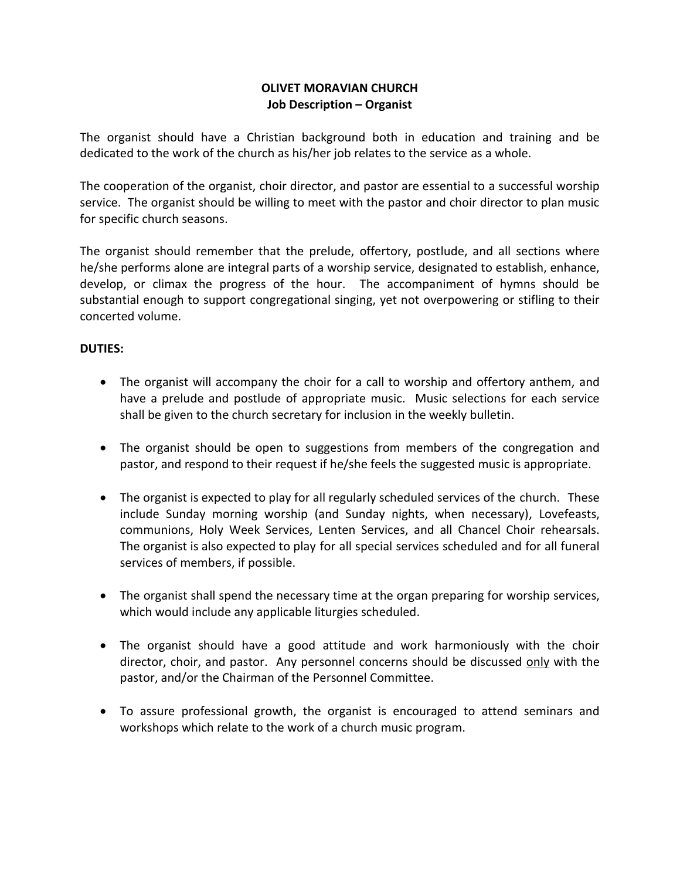## **OLIVET MORAVIAN CHURCH Job Description – Organist**

The organist should have a Christian background both in education and training and be dedicated to the work of the church as his/her job relates to the service as a whole.

The cooperation of the organist, choir director, and pastor are essential to a successful worship service. The organist should be willing to meet with the pastor and choir director to plan music for specific church seasons.

The organist should remember that the prelude, offertory, postlude, and all sections where he/she performs alone are integral parts of a worship service, designated to establish, enhance, develop, or climax the progress of the hour. The accompaniment of hymns should be substantial enough to support congregational singing, yet not overpowering or stifling to their concerted volume.

## **DUTIES:**

- The organist will accompany the choir for a call to worship and offertory anthem, and have a prelude and postlude of appropriate music. Music selections for each service shall be given to the church secretary for inclusion in the weekly bulletin.
- The organist should be open to suggestions from members of the congregation and pastor, and respond to their request if he/she feels the suggested music is appropriate.
- The organist is expected to play for all regularly scheduled services of the church. These include Sunday morning worship (and Sunday nights, when necessary), Lovefeasts, communions, Holy Week Services, Lenten Services, and all Chancel Choir rehearsals. The organist is also expected to play for all special services scheduled and for all funeral services of members, if possible.
- The organist shall spend the necessary time at the organ preparing for worship services, which would include any applicable liturgies scheduled.
- The organist should have a good attitude and work harmoniously with the choir director, choir, and pastor. Any personnel concerns should be discussed only with the pastor, and/or the Chairman of the Personnel Committee.
- To assure professional growth, the organist is encouraged to attend seminars and workshops which relate to the work of a church music program.